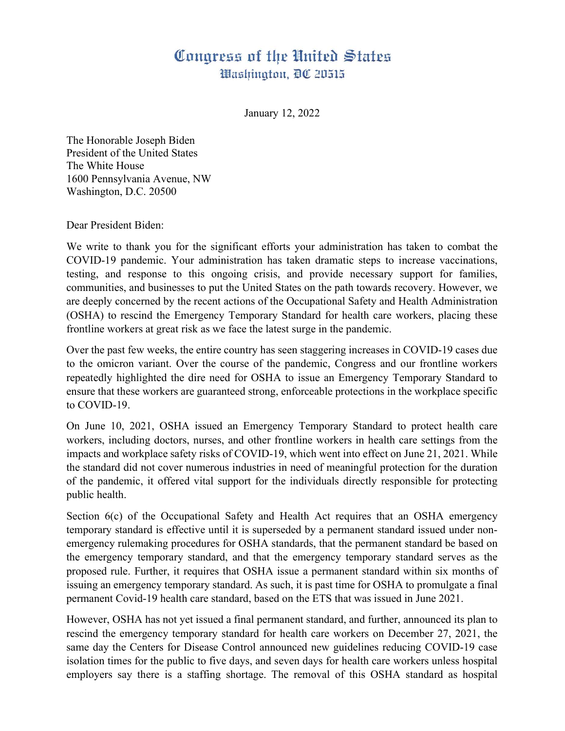## Congress of the United States Washington, DC 20515

January 12, 2022

The Honorable Joseph Biden President of the United States The White House 1600 Pennsylvania Avenue, NW Washington, D.C. 20500

Dear President Biden:

We write to thank you for the significant efforts your administration has taken to combat the COVID-19 pandemic. Your administration has taken dramatic steps to increase vaccinations, testing, and response to this ongoing crisis, and provide necessary support for families, communities, and businesses to put the United States on the path towards recovery. However, we are deeply concerned by the recent actions of the Occupational Safety and Health Administration (OSHA) to rescind the Emergency Temporary Standard for health care workers, placing these frontline workers at great risk as we face the latest surge in the pandemic.

Over the past few weeks, the entire country has seen staggering increases in COVID-19 cases due to the omicron variant. Over the course of the pandemic, Congress and our frontline workers repeatedly highlighted the dire need for OSHA to issue an Emergency Temporary Standard to ensure that these workers are guaranteed strong, enforceable protections in the workplace specific to COVID-19.

On June 10, 2021, OSHA issued an Emergency Temporary Standard to protect health care workers, including doctors, nurses, and other frontline workers in health care settings from the impacts and workplace safety risks of COVID-19, which went into effect on June 21, 2021. While the standard did not cover numerous industries in need of meaningful protection for the duration of the pandemic, it offered vital support for the individuals directly responsible for protecting public health.

Section 6(c) of the Occupational Safety and Health Act requires that an OSHA emergency temporary standard is effective until it is superseded by a permanent standard issued under nonemergency rulemaking procedures for OSHA standards, that the permanent standard be based on the emergency temporary standard, and that the emergency temporary standard serves as the proposed rule. Further, it requires that OSHA issue a permanent standard within six months of issuing an emergency temporary standard. As such, it is past time for OSHA to promulgate a final permanent Covid-19 health care standard, based on the ETS that was issued in June 2021.

However, OSHA has not yet issued a final permanent standard, and further, announced its plan to rescind the emergency temporary standard for health care workers on December 27, 2021, the same day the Centers for Disease Control announced new guidelines reducing COVID-19 case isolation times for the public to five days, and seven days for health care workers unless hospital employers say there is a staffing shortage. The removal of this OSHA standard as hospital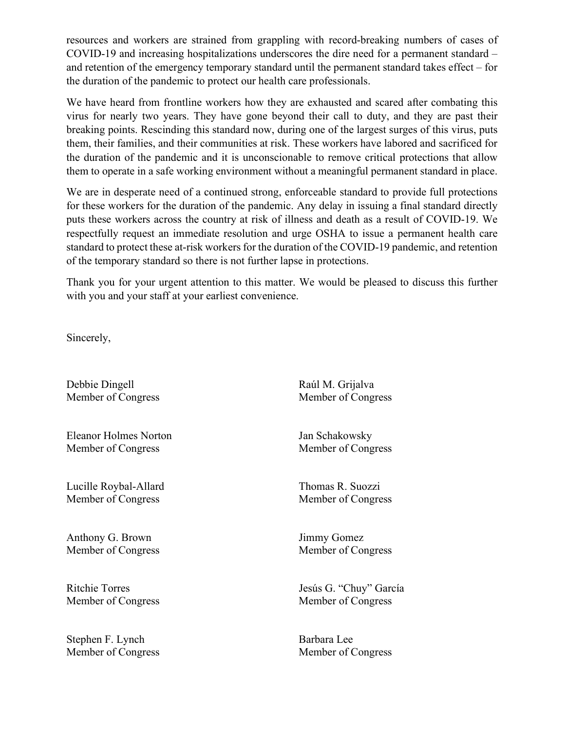resources and workers are strained from grappling with record-breaking numbers of cases of COVID-19 and increasing hospitalizations underscores the dire need for a permanent standard – and retention of the emergency temporary standard until the permanent standard takes effect – for the duration of the pandemic to protect our health care professionals.

We have heard from frontline workers how they are exhausted and scared after combating this virus for nearly two years. They have gone beyond their call to duty, and they are past their breaking points. Rescinding this standard now, during one of the largest surges of this virus, puts them, their families, and their communities at risk. These workers have labored and sacrificed for the duration of the pandemic and it is unconscionable to remove critical protections that allow them to operate in a safe working environment without a meaningful permanent standard in place.

We are in desperate need of a continued strong, enforceable standard to provide full protections for these workers for the duration of the pandemic. Any delay in issuing a final standard directly puts these workers across the country at risk of illness and death as a result of COVID-19. We respectfully request an immediate resolution and urge OSHA to issue a permanent health care standard to protect these at-risk workers for the duration of the COVID-19 pandemic, and retention of the temporary standard so there is not further lapse in protections.

Thank you for your urgent attention to this matter. We would be pleased to discuss this further with you and your staff at your earliest convenience.

Sincerely,

Debbie Dingell Raúl M. Grijalva

Eleanor Holmes Norton Jan Schakowsky Member of Congress Member of Congress

Lucille Roybal-Allard Thomas R. Suozzi Member of Congress Member of Congress

Anthony G. Brown Jimmy Gomez

Stephen F. Lynch Barbara Lee Member of Congress Member of Congress

Member of Congress Member of Congress

Member of Congress Member of Congress

Ritchie Torres Jesús G. "Chuy" García Member of Congress Member of Congress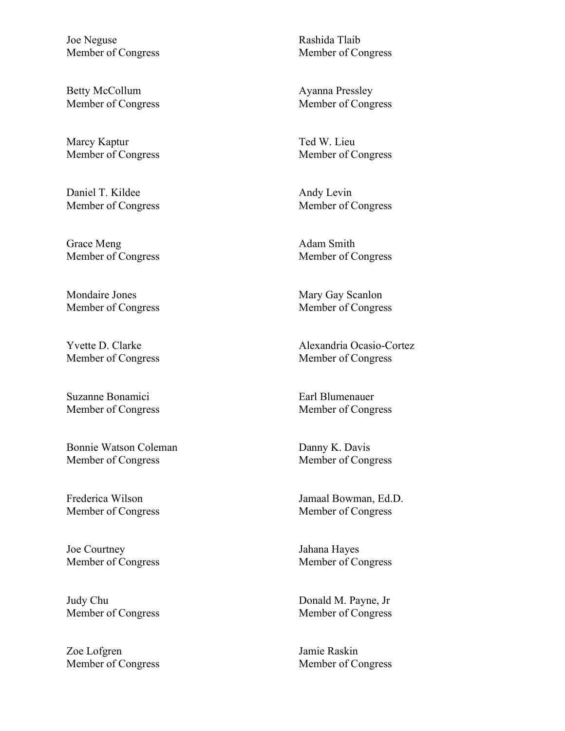Joe Neguse Rashida Tlaib Member of Congress Member of Congress

Betty McCollum Ayanna Pressley

Marcy Kaptur Ted W. Lieu

Daniel T. Kildee Andy Levin

Grace Meng Adam Smith Member of Congress Member of Congress

Mondaire Jones Mary Gay Scanlon

Member of Congress Member of Congress

Suzanne Bonamici **Earl Blumenauer** Earl Blumenauer

Bonnie Watson Coleman Danny K. Davis Member of Congress Member of Congress

Joe Courtney Jahana Hayes Member of Congress Member of Congress

Judy Chu Donald M. Payne, Jr Member of Congress Member of Congress

Zoe Lofgren Jamie Raskin

Member of Congress Member of Congress

Member of Congress Member of Congress

Member of Congress Member of Congress

Member of Congress Member of Congress

Yvette D. Clarke Alexandria Ocasio-Cortez

Member of Congress Member of Congress

Frederica Wilson Jamaal Bowman, Ed.D. Member of Congress Member of Congress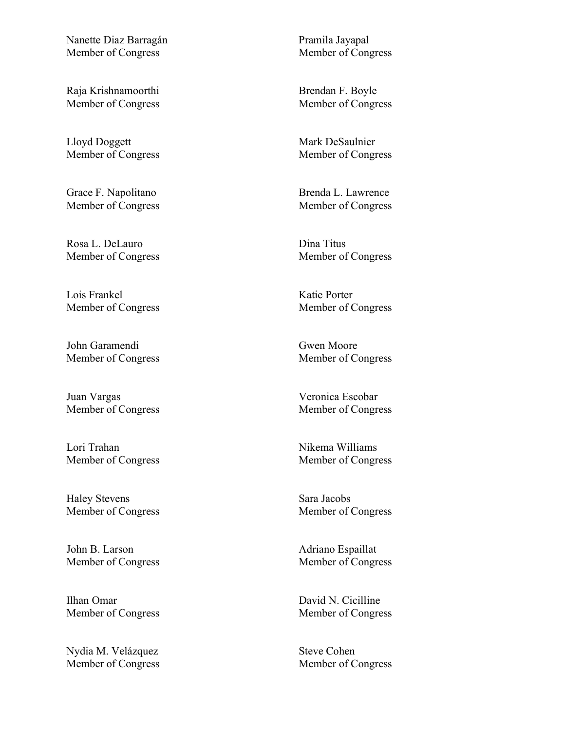Nanette Diaz Barragán Pramila Jayapal Member of Congress Member of Congress

Raja Krishnamoorthi Brendan F. Boyle

Lloyd Doggett Mark DeSaulnier

Rosa L. DeLauro Dina Titus

Lois Frankel Katie Porter

John Garamendi Gwen Moore Member of Congress Member of Congress

Juan Vargas Veronica Escobar

Lori Trahan Nikema Williams Member of Congress Member of Congress

Haley Stevens Sara Jacobs

John B. Larson Adriano Espaillat

Ilhan Omar David N. Cicilline Member of Congress Member of Congress

Nydia M. Velázquez Steve Cohen

Member of Congress Member of Congress

Member of Congress Member of Congress

Grace F. Napolitano Brenda L. Lawrence Member of Congress Member of Congress

Member of Congress Member of Congress

Member of Congress Member of Congress

Member of Congress Member of Congress

Member of Congress Member of Congress

Member of Congress Member of Congress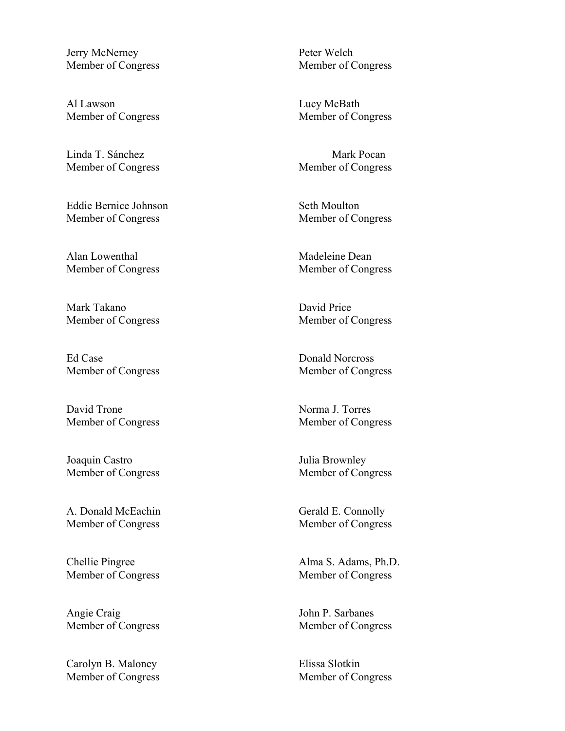Jerry McNerney Peter Welch

Al Lawson Lucy McBath

Linda T. Sánchez Mark Pocan Member of Congress Member of Congress

Eddie Bernice Johnson Seth Moulton Member of Congress Member of Congress

Alan Lowenthal **Madeleine** Dean Member of Congress Member of Congress

Mark Takano David Price

Ed Case Donald Norcross Member of Congress Member of Congress

David Trone Norma J. Torres

Joaquin Castro Julia Brownley

A. Donald McEachin Gerald E. Connolly Member of Congress Member of Congress

Angie Craig John P. Sarbanes Member of Congress Member of Congress

Carolyn B. Maloney Elissa Slotkin Member of Congress Member of Congress

Member of Congress Member of Congress

Member of Congress Member of Congress

Member of Congress Member of Congress

Member of Congress Member of Congress

Member of Congress Member of Congress

Chellie Pingree Alma S. Adams, Ph.D. Member of Congress Member of Congress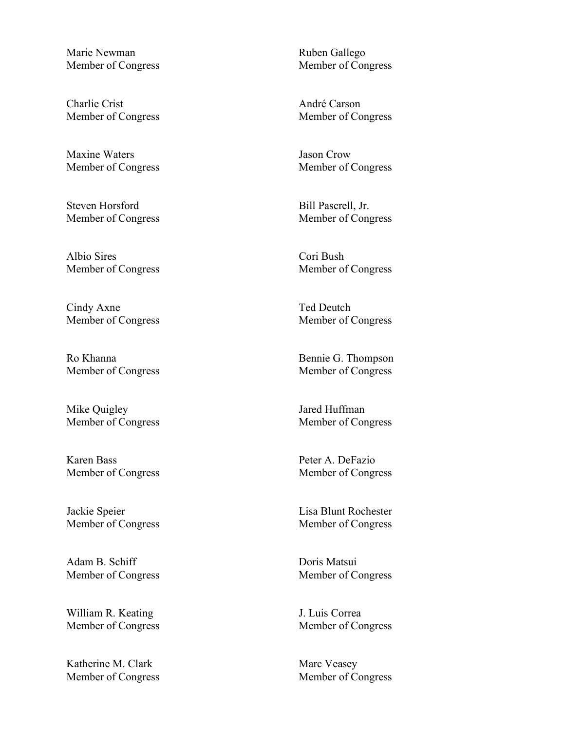Marie Newman Ruben Gallego

Charlie Crist André Carson Member of Congress Member of Congress

Maxine Waters **Jason** Crow

Steven Horsford Bill Pascrell, Jr.

Albio Sires Cori Bush Member of Congress Member of Congress

Cindy Axne Ted Deutch

Ro Khanna Bennie G. Thompson

Mike Quigley **I** are a Huffman

Karen Bass Peter A. DeFazio Member of Congress Member of Congress

Jackie Speier Lisa Blunt Rochester

Adam B. Schiff Doris Matsui

William R. Keating J. Luis Correa

Katherine M. Clark Marc Veasey Member of Congress Member of Congress

Member of Congress Member of Congress

Member of Congress Member of Congress

Member of Congress Member of Congress

Member of Congress Member of Congress

Member of Congress Member of Congress

Member of Congress Member of Congress

Member of Congress Member of Congress

Member of Congress Member of Congress